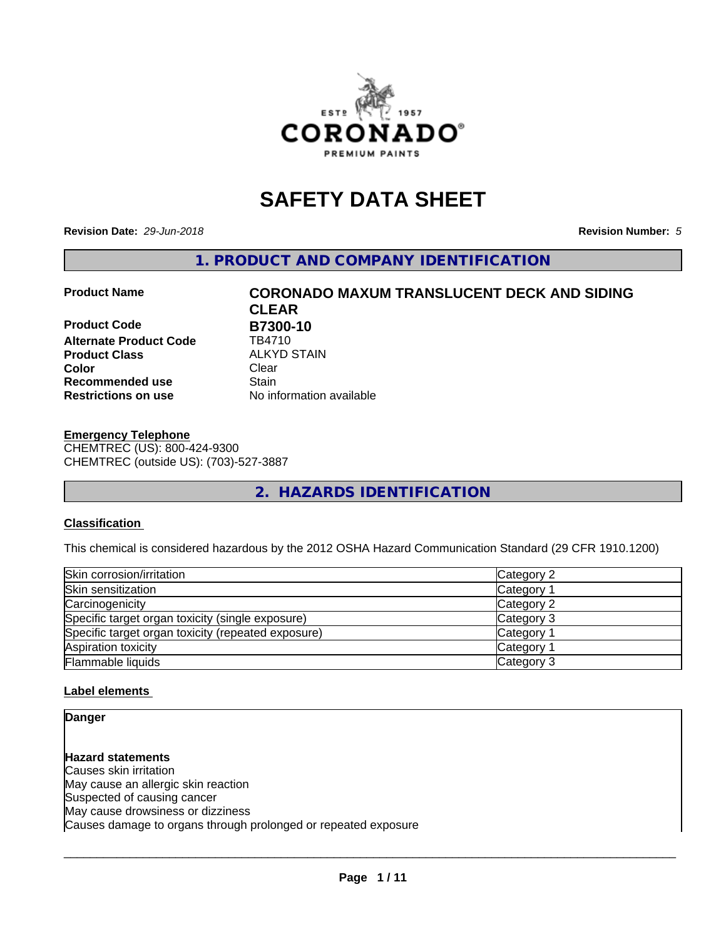

## **SAFETY DATA SHEET**

**Revision Date:** *29-Jun-2018* **Revision Number:** *5*

**1. PRODUCT AND COMPANY IDENTIFICATION**

**Product Code B7300-10**<br>Alternate Product Code TB4710 **Alternate Product Code Product Class** ALKYD STAIN<br> **Color** Clear **Color** Clear Clear **Recommended use Stain Restrictions on use** No information available

# **Product Name CORONADO MAXUM TRANSLUCENT DECK AND SIDING CLEAR**

**Emergency Telephone** CHEMTREC (US): 800-424-9300 CHEMTREC (outside US): (703)-527-3887

**2. HAZARDS IDENTIFICATION**

#### **Classification**

This chemical is considered hazardous by the 2012 OSHA Hazard Communication Standard (29 CFR 1910.1200)

| Skin corrosion/irritation                          | Category 2            |
|----------------------------------------------------|-----------------------|
| Skin sensitization                                 | Category              |
| Carcinogenicity                                    | Category 2            |
| Specific target organ toxicity (single exposure)   | Category 3            |
| Specific target organ toxicity (repeated exposure) | Category <sup>2</sup> |
| Aspiration toxicity                                | Category              |
| Flammable liquids                                  | Category 3            |

#### **Label elements**

**Danger**

**Hazard statements** Causes skin irritation May cause an allergic skin reaction Suspected of causing cancer May cause drowsiness or dizziness Causes damage to organs through prolonged or repeated exposure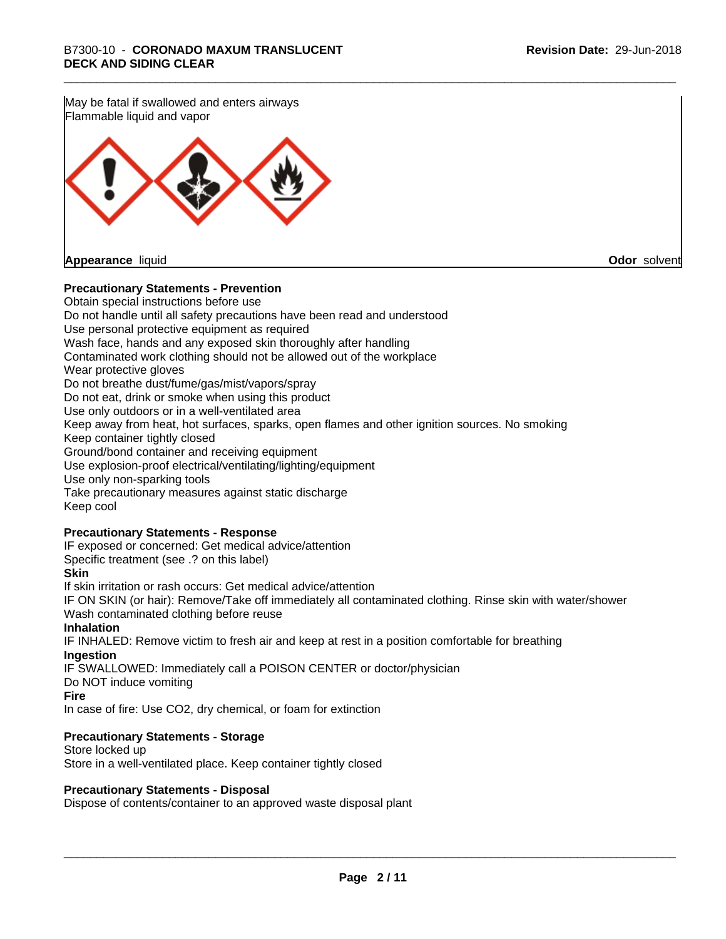May be fatal if swallowed and enters airways Flammable liquid and vapor



**Appearance** liquid **Odor** solvent

#### **Precautionary Statements - Prevention**

Obtain special instructions before use Do not handle until all safety precautions have been read and understood Use personal protective equipment as required Wash face, hands and any exposed skin thoroughly after handling Contaminated work clothing should not be allowed out of the workplace Wear protective gloves Do not breathe dust/fume/gas/mist/vapors/spray Do not eat, drink or smoke when using this product Use only outdoors or in a well-ventilated area Keep away from heat, hot surfaces, sparks, open flames and other ignition sources. No smoking Keep container tightly closed Ground/bond container and receiving equipment Use explosion-proof electrical/ventilating/lighting/equipment Use only non-sparking tools Take precautionary measures against static discharge Keep cool **Precautionary Statements - Response** IF exposed or concerned: Get medical advice/attention Specific treatment (see .? on this label) **Skin** If skin irritation or rash occurs: Get medical advice/attention IF ON SKIN (or hair): Remove/Take off immediately all contaminated clothing. Rinse skin with water/shower Wash contaminated clothing before reuse **Inhalation** IF INHALED: Remove victim to fresh air and keep at rest in a position comfortable for breathing **Ingestion** IF SWALLOWED: Immediately call a POISON CENTER or doctor/physician Do NOT induce vomiting

**Fire**

In case of fire: Use CO2, dry chemical, or foam for extinction

#### **Precautionary Statements - Storage**

Store locked up Store in a well-ventilated place. Keep container tightly closed

#### **Precautionary Statements - Disposal**

Dispose of contents/container to an approved waste disposal plant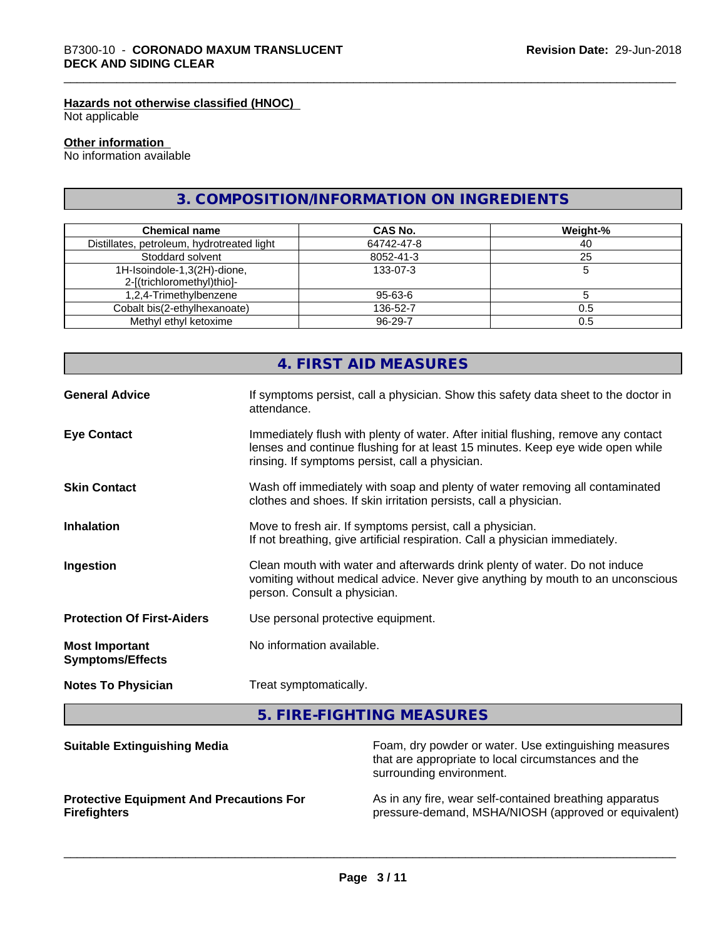### **Hazards not otherwise classified (HNOC)**

Not applicable

#### **Other information**

No information available

### **3. COMPOSITION/INFORMATION ON INGREDIENTS**

| <b>Chemical name</b>                                      | CAS No.       | Weight-% |
|-----------------------------------------------------------|---------------|----------|
| Distillates, petroleum, hydrotreated light                | 64742-47-8    | 40       |
| Stoddard solvent                                          | 8052-41-3     | 25       |
| 1H-Isoindole-1,3(2H)-dione,<br>2-[(trichloromethyl)thio]- | 133-07-3      |          |
| 1,2,4-Trimethylbenzene                                    | $95 - 63 - 6$ |          |
| Cobalt bis(2-ethylhexanoate)                              | 136-52-7      | 0.5      |
| Methyl ethyl ketoxime                                     | 96-29-7       | 0.5      |

|                                                  | 4. FIRST AID MEASURES                                                                                                                                                                                                   |
|--------------------------------------------------|-------------------------------------------------------------------------------------------------------------------------------------------------------------------------------------------------------------------------|
| <b>General Advice</b>                            | If symptoms persist, call a physician. Show this safety data sheet to the doctor in<br>attendance.                                                                                                                      |
| <b>Eye Contact</b>                               | Immediately flush with plenty of water. After initial flushing, remove any contact<br>lenses and continue flushing for at least 15 minutes. Keep eye wide open while<br>rinsing. If symptoms persist, call a physician. |
| <b>Skin Contact</b>                              | Wash off immediately with soap and plenty of water removing all contaminated<br>clothes and shoes. If skin irritation persists, call a physician.                                                                       |
| <b>Inhalation</b>                                | Move to fresh air. If symptoms persist, call a physician.<br>If not breathing, give artificial respiration. Call a physician immediately.                                                                               |
| Ingestion                                        | Clean mouth with water and afterwards drink plenty of water. Do not induce<br>vomiting without medical advice. Never give anything by mouth to an unconscious<br>person. Consult a physician.                           |
| <b>Protection Of First-Aiders</b>                | Use personal protective equipment.                                                                                                                                                                                      |
| <b>Most Important</b><br><b>Symptoms/Effects</b> | No information available.                                                                                                                                                                                               |
| <b>Notes To Physician</b>                        | Treat symptomatically.                                                                                                                                                                                                  |

**5. FIRE-FIGHTING MEASURES**

| <b>Suitable Extinguishing Media</b>             | Foam, dry powder or water. Use extinguishing measures<br>that are appropriate to local circumstances and the<br>surrounding environment. |
|-------------------------------------------------|------------------------------------------------------------------------------------------------------------------------------------------|
| <b>Protective Equipment And Precautions For</b> | As in any fire, wear self-contained breathing apparatus                                                                                  |
| <b>Firefighters</b>                             | pressure-demand, MSHA/NIOSH (approved or equivalent)                                                                                     |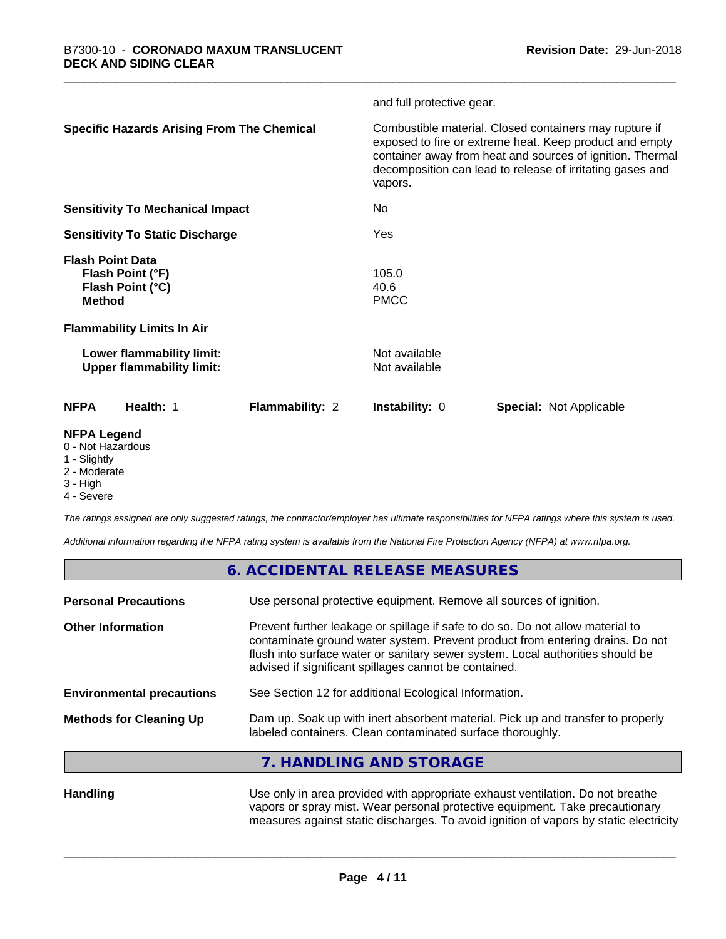|                                                                                  |                        | and full protective gear.      |                                                                                                                                                                                                                                             |
|----------------------------------------------------------------------------------|------------------------|--------------------------------|---------------------------------------------------------------------------------------------------------------------------------------------------------------------------------------------------------------------------------------------|
| <b>Specific Hazards Arising From The Chemical</b>                                |                        | vapors.                        | Combustible material. Closed containers may rupture if<br>exposed to fire or extreme heat. Keep product and empty<br>container away from heat and sources of ignition. Thermal<br>decomposition can lead to release of irritating gases and |
| <b>Sensitivity To Mechanical Impact</b>                                          |                        | No.                            |                                                                                                                                                                                                                                             |
| <b>Sensitivity To Static Discharge</b>                                           |                        | Yes                            |                                                                                                                                                                                                                                             |
| <b>Flash Point Data</b><br>Flash Point (°F)<br>Flash Point (°C)<br><b>Method</b> |                        | 105.0<br>40.6<br><b>PMCC</b>   |                                                                                                                                                                                                                                             |
| <b>Flammability Limits In Air</b>                                                |                        |                                |                                                                                                                                                                                                                                             |
| Lower flammability limit:<br><b>Upper flammability limit:</b>                    |                        | Not available<br>Not available |                                                                                                                                                                                                                                             |
| <b>NFPA</b><br>Health: 1                                                         | <b>Flammability: 2</b> | <b>Instability: 0</b>          | <b>Special: Not Applicable</b>                                                                                                                                                                                                              |
| <b>NFPA Legend</b><br>0 - Not Hazardous<br>1 - Slightly                          |                        |                                |                                                                                                                                                                                                                                             |

- 2 Moderate
- 3 High

4 - Severe

*The ratings assigned are only suggested ratings, the contractor/employer has ultimate responsibilities for NFPA ratings where this system is used.*

*Additional information regarding the NFPA rating system is available from the National Fire Protection Agency (NFPA) at www.nfpa.org.*

|                                  | 6. ACCIDENTAL RELEASE MEASURES                                                                                                                                                                                                                                                                             |
|----------------------------------|------------------------------------------------------------------------------------------------------------------------------------------------------------------------------------------------------------------------------------------------------------------------------------------------------------|
| <b>Personal Precautions</b>      | Use personal protective equipment. Remove all sources of ignition.                                                                                                                                                                                                                                         |
| <b>Other Information</b>         | Prevent further leakage or spillage if safe to do so. Do not allow material to<br>contaminate ground water system. Prevent product from entering drains. Do not<br>flush into surface water or sanitary sewer system. Local authorities should be<br>advised if significant spillages cannot be contained. |
| <b>Environmental precautions</b> | See Section 12 for additional Ecological Information.                                                                                                                                                                                                                                                      |
| <b>Methods for Cleaning Up</b>   | Dam up. Soak up with inert absorbent material. Pick up and transfer to properly<br>labeled containers. Clean contaminated surface thoroughly.                                                                                                                                                              |
|                                  | 7. HANDLING AND STORAGE                                                                                                                                                                                                                                                                                    |

**Handling** Use only in area provided with appropriate exhaust ventilation. Do not breathe vapors or spray mist. Wear personal protective equipment. Take precautionary measures against static discharges. To avoid ignition of vapors by static electricity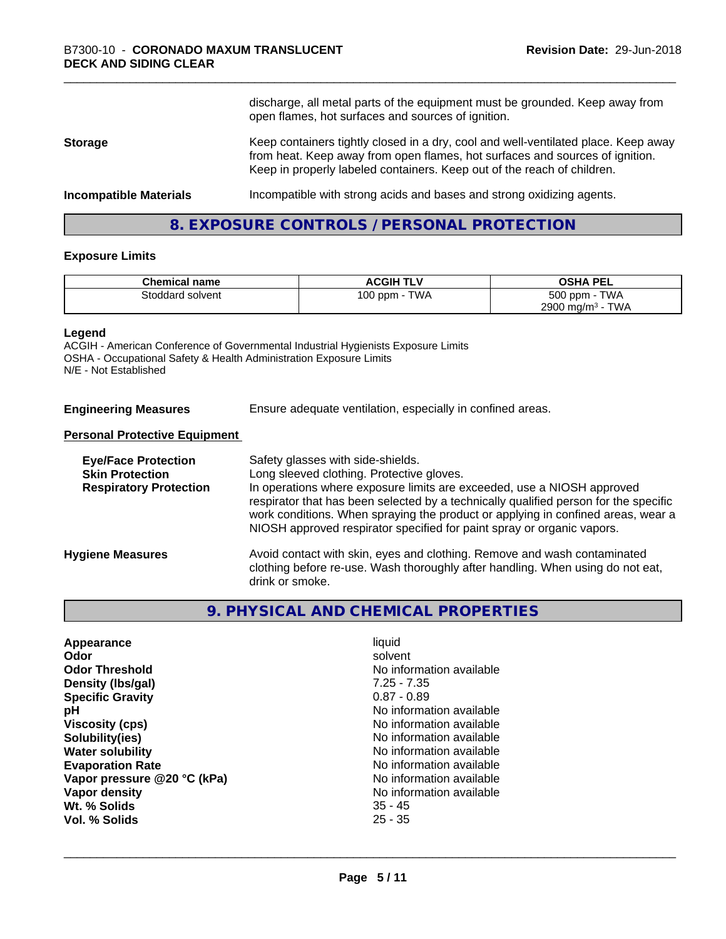discharge, all metal parts of the equipment must be grounded. Keep away from open flames, hot surfaces and sources of ignition. **Storage** Keep containers tightly closed in a dry, cool and well-ventilated place. Keep away from heat. Keep away from open flames, hot surfaces and sources of ignition. Keep in properly labeled containers. Keep out of the reach of children. **Incompatible Materials Incompatible with strong acids and bases and strong oxidizing agents.** 

**8. EXPOSURE CONTROLS / PERSONAL PROTECTION**

#### **Exposure Limits**

| <b>Chemical name</b> | <b>ACGIH TLV</b>           | <b>OSHA PEL</b>                        |
|----------------------|----------------------------|----------------------------------------|
| Stoddard solvent     | <b>TWA</b><br>100 ppm $-1$ | 500 ppm - TWA                          |
|                      |                            | 2900 mg/m <sup>3</sup> -<br><b>TWA</b> |

#### **Legend**

ACGIH - American Conference of Governmental Industrial Hygienists Exposure Limits OSHA - Occupational Safety & Health Administration Exposure Limits N/E - Not Established

**Engineering Measures** Ensure adequate ventilation, especially in confined areas.

#### **Personal Protective Equipment**

| <b>Eye/Face Protection</b><br><b>Skin Protection</b><br><b>Respiratory Protection</b> | Safety glasses with side-shields.<br>Long sleeved clothing. Protective gloves.<br>In operations where exposure limits are exceeded, use a NIOSH approved<br>respirator that has been selected by a technically qualified person for the specific<br>work conditions. When spraying the product or applying in confined areas, wear a<br>NIOSH approved respirator specified for paint spray or organic vapors. |
|---------------------------------------------------------------------------------------|----------------------------------------------------------------------------------------------------------------------------------------------------------------------------------------------------------------------------------------------------------------------------------------------------------------------------------------------------------------------------------------------------------------|
| <b>Hygiene Measures</b>                                                               | Avoid contact with skin, eyes and clothing. Remove and wash contaminated<br>clothing before re-use. Wash thoroughly after handling. When using do not eat,<br>drink or smoke.                                                                                                                                                                                                                                  |

#### **9. PHYSICAL AND CHEMICAL PROPERTIES**

| Appearance<br>Odor          | liquid<br>solvent        |
|-----------------------------|--------------------------|
| <b>Odor Threshold</b>       | No information available |
| Density (Ibs/gal)           | $7.25 - 7.35$            |
| <b>Specific Gravity</b>     | $0.87 - 0.89$            |
| рH                          | No information available |
| <b>Viscosity (cps)</b>      | No information available |
| Solubility(ies)             | No information available |
| <b>Water solubility</b>     | No information available |
| <b>Evaporation Rate</b>     | No information available |
| Vapor pressure @20 °C (kPa) | No information available |
| Vapor density               | No information available |
| Wt. % Solids                | $35 - 45$                |
| Vol. % Solids               | $25 - 35$                |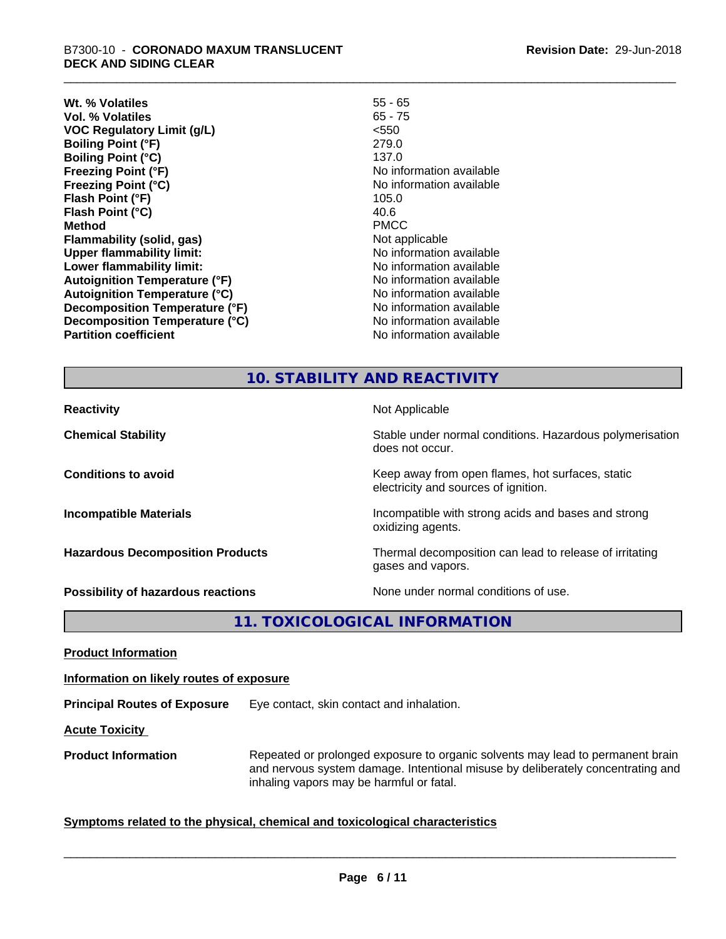**Wt. % Volatiles** 55 - 65 **Vol. % Volatiles** 65 - 75 **VOC Regulatory Limit (g/L)** <550 **Boiling Point (°F)** 279.0 **Boiling Point (°C)** 137.0 **Freezing Point (°F)** The state of the state of the Noinformation available **Freezing Point (°C)** No information available **Flash Point (°F)** 105.0 **Flash Point (°C)** 40.6 **Method** PMCC **Flammability (solid, gas)** Not applicable **Upper flammability limit:** No information available **Lower flammability limit:**<br> **Autoignition Temperature (°F)** No information available<br>
No information available **Autoignition Temperature (°F) Autoignition Temperature (°C)** No information available **Decomposition Temperature (°F)**<br> **Decomposition Temperature (°C)** No information available **Decomposition Temperature (°C)**<br>Partition coefficient

**No information available** 

## **10. STABILITY AND REACTIVITY**

**Reactivity** Not Applicable **Chemical Stability Stability** Stable under normal conditions. Hazardous polymerisation does not occur. **Conditions to avoid Keep away from open flames, hot surfaces, static conditions to avoid** electricity and sources of ignition. **Incompatible Materials Incompatible with strong acids and bases and strong** oxidizing agents. **Hazardous Decomposition Products** Thermal decomposition can lead to release of irritating gases and vapors. **Possibility of hazardous reactions** None under normal conditions of use.

**11. TOXICOLOGICAL INFORMATION**

**Product Information**

**Information on likely routes of exposure**

**Principal Routes of Exposure** Eye contact, skin contact and inhalation.

**Acute Toxicity** 

**Product Information** Repeated or prolonged exposure to organic solvents may lead to permanent brain and nervous system damage. Intentional misuse by deliberately concentrating and inhaling vapors may be harmful or fatal.

 $\overline{\phantom{a}}$  ,  $\overline{\phantom{a}}$  ,  $\overline{\phantom{a}}$  ,  $\overline{\phantom{a}}$  ,  $\overline{\phantom{a}}$  ,  $\overline{\phantom{a}}$  ,  $\overline{\phantom{a}}$  ,  $\overline{\phantom{a}}$  ,  $\overline{\phantom{a}}$  ,  $\overline{\phantom{a}}$  ,  $\overline{\phantom{a}}$  ,  $\overline{\phantom{a}}$  ,  $\overline{\phantom{a}}$  ,  $\overline{\phantom{a}}$  ,  $\overline{\phantom{a}}$  ,  $\overline{\phantom{a}}$ 

#### **Symptoms** related to the physical, chemical and toxicological characteristics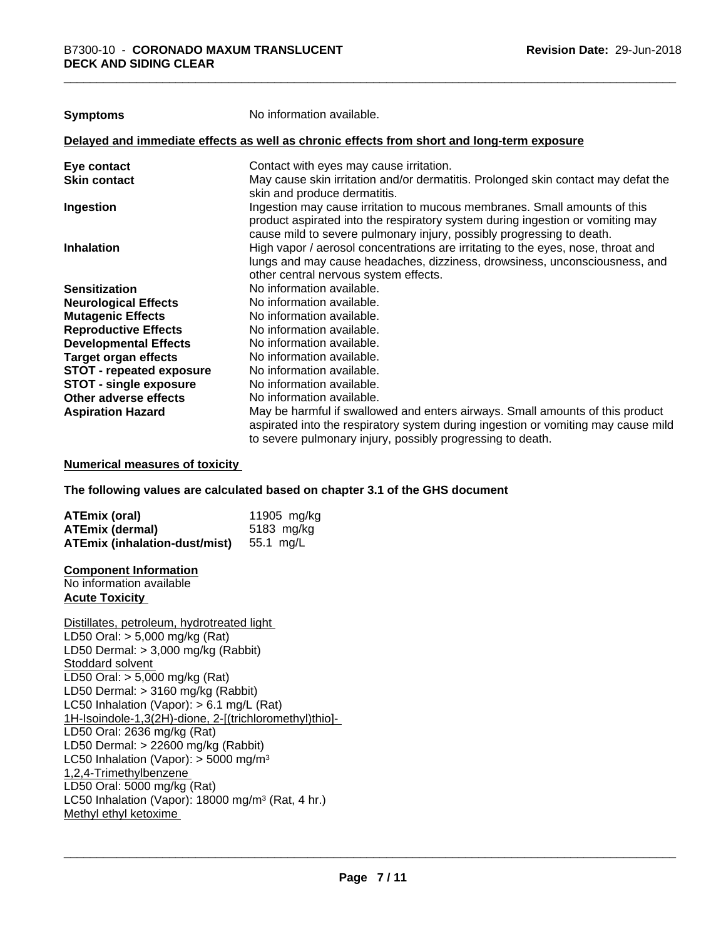| Symptoms                        | No information available.                                                                                                                                                                                                            |
|---------------------------------|--------------------------------------------------------------------------------------------------------------------------------------------------------------------------------------------------------------------------------------|
|                                 | Delayed and immediate effects as well as chronic effects from short and long-term exposure                                                                                                                                           |
| Eye contact                     | Contact with eyes may cause irritation.                                                                                                                                                                                              |
| Skin contact                    | May cause skin irritation and/or dermatitis. Prolonged skin contact may defat the<br>skin and produce dermatitis.                                                                                                                    |
| Ingestion                       | Ingestion may cause irritation to mucous membranes. Small amounts of this<br>product aspirated into the respiratory system during ingestion or vomiting may<br>cause mild to severe pulmonary injury, possibly progressing to death. |
| Inhalation                      | High vapor / aerosol concentrations are irritating to the eyes, nose, throat and<br>lungs and may cause headaches, dizziness, drowsiness, unconsciousness, and<br>other central nervous system effects.                              |
| Sensitization                   | No information available.                                                                                                                                                                                                            |
| <b>Neurological Effects</b>     | No information available.                                                                                                                                                                                                            |
| <b>Mutagenic Effects</b>        | No information available.                                                                                                                                                                                                            |
| <b>Reproductive Effects</b>     | No information available.                                                                                                                                                                                                            |
| <b>Developmental Effects</b>    | No information available.                                                                                                                                                                                                            |
| Target organ effects            | No information available.                                                                                                                                                                                                            |
| <b>STOT - repeated exposure</b> | No information available.                                                                                                                                                                                                            |
| <b>STOT - single exposure</b>   | No information available.                                                                                                                                                                                                            |
| Other adverse effects           | No information available.                                                                                                                                                                                                            |
| <b>Aspiration Hazard</b>        | May be harmful if swallowed and enters airways. Small amounts of this product<br>aspirated into the respiratory system during ingestion or vomiting may cause mild<br>to severe pulmonary injury, possibly progressing to death.     |

#### **Numerical measures of toxicity**

**The following values are calculated based on chapter 3.1 of the GHS document**

| <b>ATEmix (oral)</b>                    | 11905 mg/kg |
|-----------------------------------------|-------------|
| <b>ATEmix (dermal)</b>                  | 5183 mg/kg  |
| ATEmix (inhalation-dust/mist) 55.1 mg/L |             |

#### **Component Information**

No information available **Acute Toxicity** 

Distillates, petroleum, hydrotreated light LD50 Oral: > 5,000 mg/kg (Rat) LD50 Dermal: > 3,000 mg/kg (Rabbit) Stoddard solvent LD50 Oral: > 5,000 mg/kg (Rat) LD50 Dermal: > 3160 mg/kg (Rabbit) LC50 Inhalation (Vapor): > 6.1 mg/L (Rat) 1H-Isoindole-1,3(2H)-dione, 2-[(trichloromethyl)thio]- LD50 Oral: 2636 mg/kg (Rat) LD50 Dermal: > 22600 mg/kg (Rabbit) LC50 Inhalation (Vapor):  $>$  5000 mg/m<sup>3</sup> 1,2,4-Trimethylbenzene LD50 Oral: 5000 mg/kg (Rat) LC50 Inhalation (Vapor): 18000 mg/m<sup>3</sup> (Rat, 4 hr.) Methyl ethyl ketoxime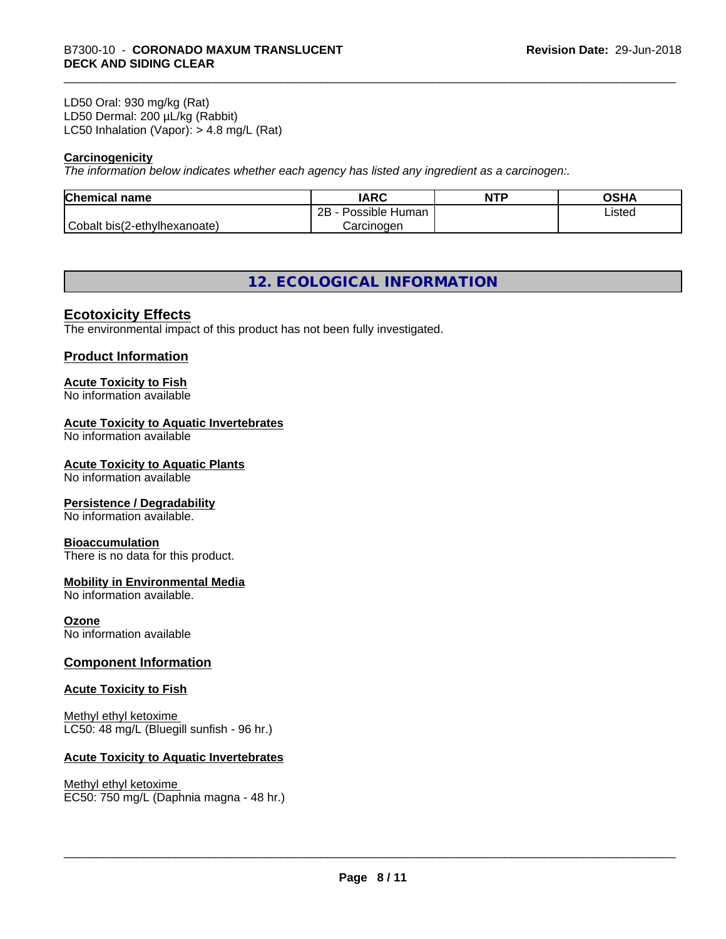#### LD50 Oral: 930 mg/kg (Rat) LD50 Dermal: 200 µL/kg (Rabbit) LC50 Inhalation (Vapor): > 4.8 mg/L (Rat)

#### **Carcinogenicity**

*The information below indicateswhether each agency has listed any ingredient as a carcinogen:.*

| <b>Chemical name</b>         | <b>IARC</b>                    | <b>NTP</b> | OSHA   |
|------------------------------|--------------------------------|------------|--------|
|                              | .<br>2B<br>Possible<br>Human . |            | Listed |
| Cobalt bis(2-ethylhexanoate) | Carcinogen                     |            |        |

### **12. ECOLOGICAL INFORMATION**

#### **Ecotoxicity Effects**

The environmental impact of this product has not been fully investigated.

#### **Product Information**

#### **Acute Toxicity to Fish**

No information available

#### **Acute Toxicity to Aquatic Invertebrates**

No information available

#### **Acute Toxicity to Aquatic Plants**

No information available

#### **Persistence / Degradability**

No information available.

#### **Bioaccumulation**

There is no data for this product.

#### **Mobility in Environmental Media**

No information available.

#### **Ozone**

No information available

#### **Component Information**

#### **Acute Toxicity to Fish**

Methyl ethyl ketoxime LC50: 48 mg/L (Bluegill sunfish - 96 hr.)

#### **Acute Toxicity to Aquatic Invertebrates**

#### Methyl ethyl ketoxime

EC50: 750 mg/L (Daphnia magna - 48 hr.)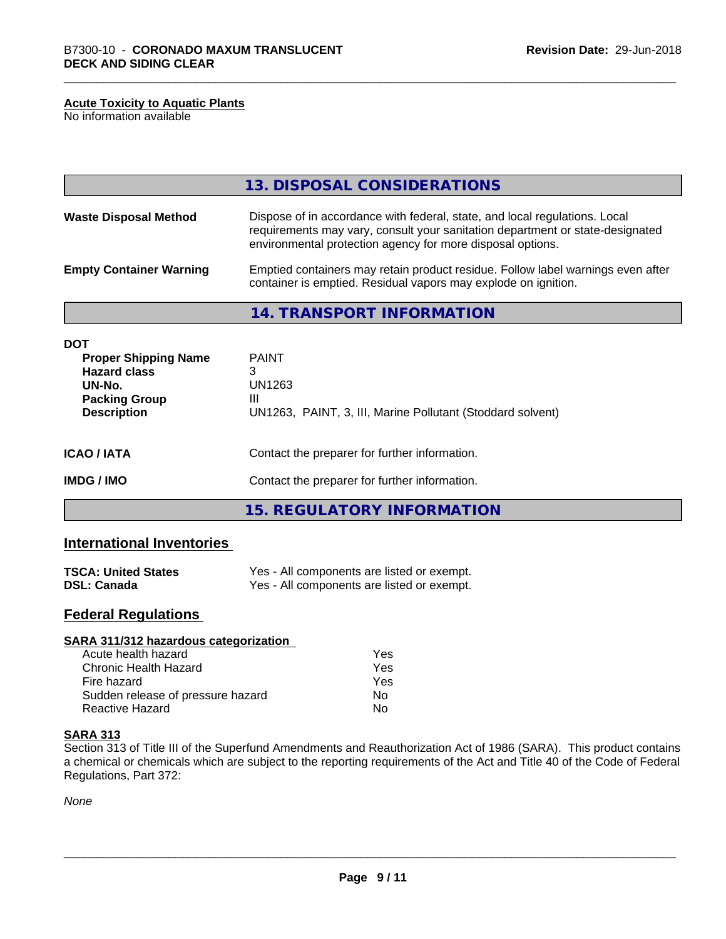#### **Acute Toxicity to Aquatic Plants**

No information available

|                                                                                                    | 13. DISPOSAL CONSIDERATIONS                                                                                                                                                                                               |  |
|----------------------------------------------------------------------------------------------------|---------------------------------------------------------------------------------------------------------------------------------------------------------------------------------------------------------------------------|--|
| <b>Waste Disposal Method</b>                                                                       | Dispose of in accordance with federal, state, and local regulations. Local<br>requirements may vary, consult your sanitation department or state-designated<br>environmental protection agency for more disposal options. |  |
| <b>Empty Container Warning</b>                                                                     | Emptied containers may retain product residue. Follow label warnings even after<br>container is emptied. Residual vapors may explode on ignition.                                                                         |  |
|                                                                                                    | <b>14. TRANSPORT INFORMATION</b>                                                                                                                                                                                          |  |
| <b>DOT</b><br><b>Proper Shipping Name</b><br><b>Hazard class</b><br>UN-No.<br><b>Packing Group</b> | <b>PAINT</b><br>3<br>UN1263<br>Ш                                                                                                                                                                                          |  |

| <b>ICAO/IATA</b> | Contact the preparer for further information. |
|------------------|-----------------------------------------------|

**Description** UN1263, PAINT, 3, III, Marine Pollutant (Stoddard solvent)

**IMDG / IMO** Contact the preparer for further information.

**15. REGULATORY INFORMATION**

#### **International Inventories**

| <b>TSCA: United States</b> | Yes - All components are listed or exempt. |
|----------------------------|--------------------------------------------|
| <b>DSL: Canada</b>         | Yes - All components are listed or exempt. |

#### **Federal Regulations**

| SARA 311/312 hazardous categorization |     |  |
|---------------------------------------|-----|--|
| Acute health hazard                   | Yes |  |
| Chronic Health Hazard                 | Yes |  |
| Fire hazard                           | Yes |  |
| Sudden release of pressure hazard     | No. |  |
| <b>Reactive Hazard</b>                | No  |  |

#### **SARA 313**

Section 313 of Title III of the Superfund Amendments and Reauthorization Act of 1986 (SARA). This product contains a chemical or chemicals which are subject to the reporting requirements of the Act and Title 40 of the Code of Federal Regulations, Part 372:

*None*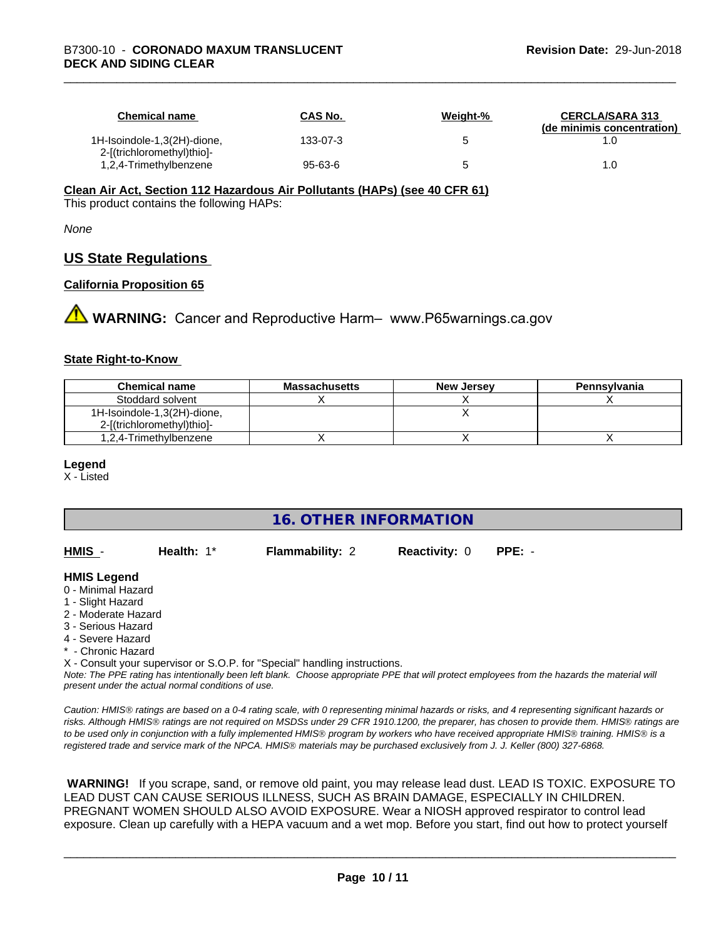| <b>Chemical name</b>                                      | CAS No.  | Weight-% | <b>CERCLA/SARA 313</b><br>(de minimis concentration) |
|-----------------------------------------------------------|----------|----------|------------------------------------------------------|
| 1H-Isoindole-1,3(2H)-dione,<br>2-[(trichloromethyl)thio]- | 133-07-3 |          |                                                      |
| 1,2,4-Trimethylbenzene                                    | 95-63-6  |          | 1.0                                                  |

#### **Clean Air Act,Section 112 Hazardous Air Pollutants (HAPs) (see 40 CFR 61)**

This product contains the following HAPs:

*None*

#### **US State Regulations**

#### **California Proposition 65**

**AVIMARNING:** Cancer and Reproductive Harm– www.P65warnings.ca.gov

#### **State Right-to-Know**

| <b>Chemical name</b>                                      | <b>Massachusetts</b> | <b>New Jersey</b> | Pennsylvania |
|-----------------------------------------------------------|----------------------|-------------------|--------------|
| Stoddard solvent                                          |                      |                   |              |
| 1H-Isoindole-1,3(2H)-dione,<br>2-[(trichloromethyl)thio]- |                      |                   |              |
| 1,2,4-Trimethylbenzene                                    |                      |                   |              |

#### **Legend**

X - Listed

#### **16. OTHER INFORMATION**

| HMIS | Health: 1* | <b>Flammability: 2</b> | <b>Reactivity: 0 PPE: -</b> |  |
|------|------------|------------------------|-----------------------------|--|
|      |            |                        |                             |  |

#### **HMIS Legend**

- 0 Minimal Hazard
- 1 Slight Hazard
- 2 Moderate Hazard
- 3 Serious Hazard
- 4 Severe Hazard
- Chronic Hazard

X - Consult your supervisor or S.O.P. for "Special" handling instructions.

*Note: The PPE rating has intentionally been left blank. Choose appropriate PPE that will protect employees from the hazards the material will present under the actual normal conditions of use.*

*Caution: HMISÒ ratings are based on a 0-4 rating scale, with 0 representing minimal hazards or risks, and 4 representing significant hazards or risks. Although HMISÒ ratings are not required on MSDSs under 29 CFR 1910.1200, the preparer, has chosen to provide them. HMISÒ ratings are to be used only in conjunction with a fully implemented HMISÒ program by workers who have received appropriate HMISÒ training. HMISÒ is a registered trade and service mark of the NPCA. HMISÒ materials may be purchased exclusively from J. J. Keller (800) 327-6868.*

 **WARNING!** If you scrape, sand, or remove old paint, you may release lead dust. LEAD IS TOXIC. EXPOSURE TO LEAD DUST CAN CAUSE SERIOUS ILLNESS, SUCH AS BRAIN DAMAGE, ESPECIALLY IN CHILDREN. PREGNANT WOMEN SHOULD ALSO AVOID EXPOSURE.Wear a NIOSH approved respirator to control lead exposure. Clean up carefully with a HEPA vacuum and a wet mop. Before you start, find out how to protect yourself